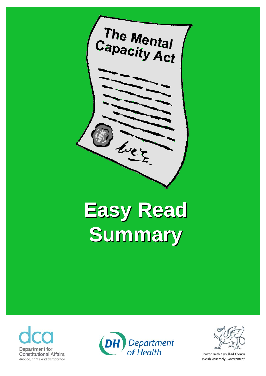

# **Easy Read Easy Read Summary Summary**







Llywodraeth Cynulliad Cymru Welsh Assembly Government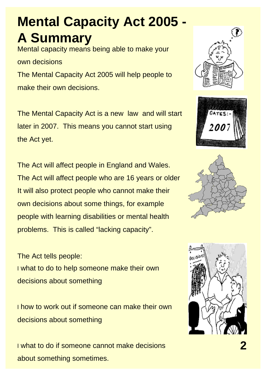#### **Mental Capacity Act 2005 - A Summary**

Mental capacity means being able to make your own decisions The Mental Capacity Act 2005 will help people to make their own decisions.

The Mental Capacity Act is a new law and will start later in 2007. This means you cannot start using the Act yet.

The Act will affect people in England and Wales. The Act will affect people who are 16 years or older It will also protect people who cannot make their own decisions about some things, for example people with learning disabilities or mental health problems. This is called "lacking capacity".

The Act tells people: l what to do to help someone make their own decisions about something

l how to work out if someone can make their own decisions about something

l what to do if someone cannot make decisions **2** about something sometimes.







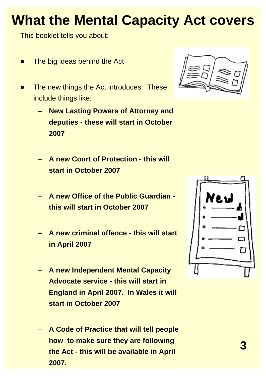# **What the Mental Capacity Act covers**

This booklet tells you about:

- $\bullet$ The big ideas behind the Act
- $\bullet$  The new things the Act introduces. These include things like:
	- **New Lasting Powers of Attorney and deputies - these will start in October 2007**
	- **A new Court of Protection this will start in October 2007**
	- **A new Office of the Public Guardian this will start in October 2007**
	- **A new criminal offence this will start in April 2007**
	- **A new Independent Mental Capacity Advocate service - this will start in England in April 2007. In Wales it will start in October 2007**
	- **A Code of Practice that will tell people how to make sure they are following <sup>3</sup> the Act - this will be available in April 2007.**



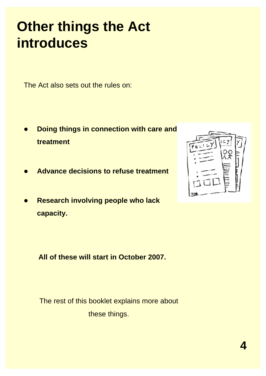#### **Other things the Act introduces**

The Act also sets out the rules on:

- $\bullet$  **Doing things in connection with care and treatment**
- $\bullet$ **Advance decisions to refuse treatment**
- $\bullet$  **Research involving people who lack capacity.**

**All of these will start in October 2007.** 

The rest of this booklet explains more about these things.

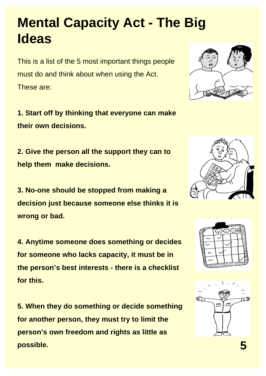#### **Mental Capacity Act - The Big Ideas**

This is a list of the 5 most important things people must do and think about when using the Act. These are:

**1. Start off by thinking that everyone can make their own decisions.** 

**2. Give the person all the support they can to help them make decisions.** 

**3. No-one should be stopped from making a decision just because someone else thinks it is wrong or bad.** 

**4. Anytime someone does something or decides for someone who lacks capacity, it must be in the person's best interests - there is a checklist for this.** 

**5. When they do something or decide something for another person, they must try to limit the person's own freedom and rights as little as possible. 5** 







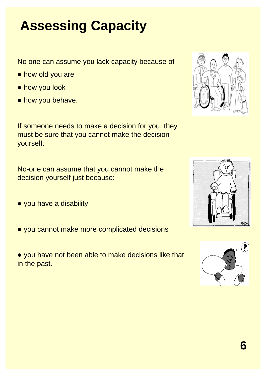# **Assessing Capacity**

No one can assume you lack capacity because of

- how old you are
- how you look
- how you behave.

If someone needs to make a decision for you, they must be sure that you cannot make the decision yourself.

No-one can assume that you cannot make the decision yourself just because:

- you have a disability
- you cannot make more complicated decisions
- you have not been able to make decisions like that in the past.







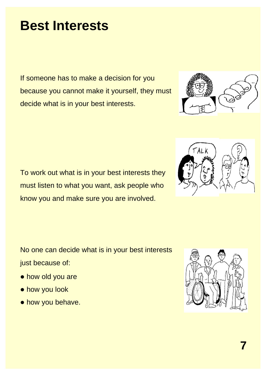#### **Best Interests**

If someone has to make a decision for you because you cannot make it yourself, they must decide what is in your best interests.

To work out what is in your best interests they must listen to what you want, ask people who know you and make sure you are involved.

No one can decide what is in your best interests just because of:

- how old you are
- how you look
- how you behave.





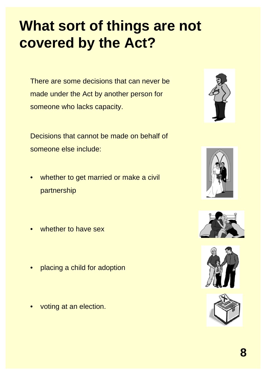# **What sort of things are not covered by the Act?**

There are some decisions that can never be made under the Act by another person for someone who lacks capacity.

Decisions that cannot be made on behalf of someone else include:

- whether to get married or make a civil partnership
- whether to have sex
- placing a child for adoption
- voting at an election.









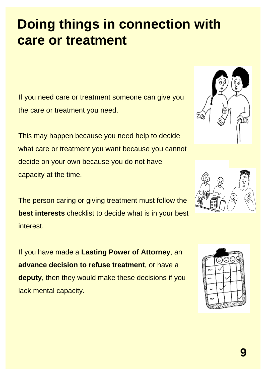#### **Doing things in connection with care or treatment**

If you need care or treatment someone can give you the care or treatment you need.

This may happen because you need help to decide what care or treatment you want because you cannot decide on your own because you do not have capacity at the time.

The person caring or giving treatment must follow the **best interests** checklist to decide what is in your best interest.

If you have made a **Lasting Power of Attorney**, an **advance decision to refuse treatment**, or have a **deputy**, then they would make these decisions if you lack mental capacity.





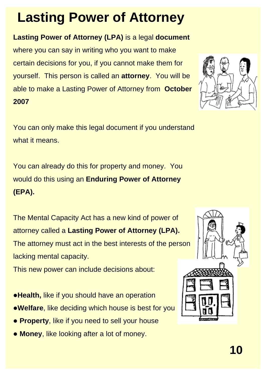### **Lasting Power of Attorney**

#### **Lasting Power of Attorney (LPA)** is a legal **document**

**2007**  where you can say in writing who you want to make certain decisions for you, if you cannot make them for yourself. This person is called an **attorney**. You will be able to make a Lasting Power of Attorney from **October** 

You can only make this legal document if you understand what it means.

You can already do this for property and money. You would do this using an **Enduring Power of Attorney (EPA).**

The Mental Capacity Act has a new kind of power of attorney called a **Lasting Power of Attorney (LPA).** The attorney must act in the best interests of the person lacking mental capacity.

This new power can include decisions about:

- **. Health, like if you should have an operation**
- **. Welfare**, like deciding which house is best for you
- **Property, like if you need to sell your house**
- **Money, like looking after a lot of money.**



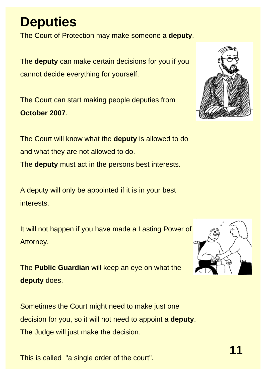#### **Deputies**

The Court of Protection may make someone a **deputy**.

The **deputy** can make certain decisions for you if you cannot decide everything for yourself.

The Court can start making people deputies from **October 2007**.



The Court will know what the **deputy** is allowed to do and what they are not allowed to do. The **deputy** must act in the persons best interests.

A deputy will only be appointed if it is in your best interests.

It will not happen if you have made a Lasting Power of Attorney.

The **Public Guardian** will keep an eye on what the **deputy** does.

Sometimes the Court might need to make just one decision for you, so it will not need to appoint a **deputy**. The Judge will just make the decision.

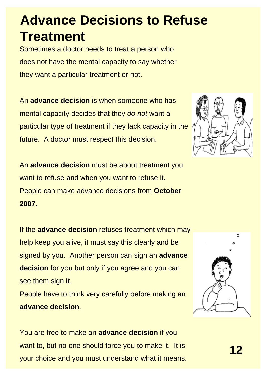#### **Advance Decisions to Refuse Treatment**

Sometimes a doctor needs to treat a person who does not have the mental capacity to say whether they want a particular treatment or not.

An **advance decision** is when someone who has mental capacity decides that they *do not* want a particular type of treatment if they lack capacity in the future. A doctor must respect this decision.

An **advance decision** must be about treatment you want to refuse and when you want to refuse it. People can make advance decisions from **October 2007.** 

If the **advance decision** refuses treatment which may help keep you alive, it must say this clearly and be signed by you. Another person can sign an **advance decision** for you but only if you agree and you can see them sign it. People have to think very carefully before making an **advance decision**.

You are free to make an **advance decision** if you want to, but no one should force you to make it. It is **12** your choice and you must understand what it means.



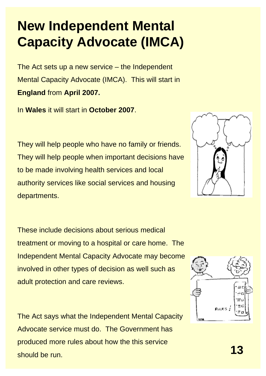### **New Independent Mental Capacity Advocate (IMCA)**

The Act sets up a new service – the Independent Mental Capacity Advocate (IMCA). This will start in **England** from **April 2007.** 

In **Wales** it will start in **October 2007**.

They will help people who have no family or friends. They will help people when important decisions have to be made involving health services and local authority services like social services and housing departments.

These include decisions about serious medical treatment or moving to a hospital or care home. The Independent Mental Capacity Advocate may become involved in other types of decision as well such as adult protection and care reviews.

The Act says what the Independent Mental Capacity Advocate service must do. The Government has produced more rules about how the this service **13** should be run.



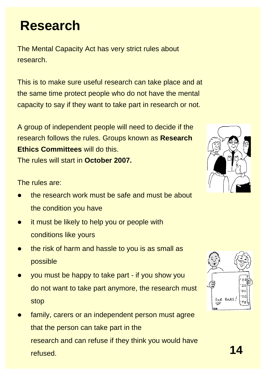The Mental Capacity Act has very strict rules about research.

This is to make sure useful research can take place and at the same time protect people who do not have the mental capacity to say if they want to take part in research or not.

A group of independent people will need to decide if the research follows the rules. Groups known as **Research Ethics Committees** will do this. The rules will start in **October 2007.** 

The rules are:

- $\bullet$  the research work must be safe and must be about the condition you have
- $\bullet$  it must be likely to help you or people with conditions like yours
- $\bullet$  the risk of harm and hassle to you is as small as possible
- $\bullet$  you must be happy to take part - if you show you do not want to take part anymore, the research must stop
- $\bullet$  family, carers or an independent person must agree that the person can take part in the research and can refuse if they think you would have refused. **14**



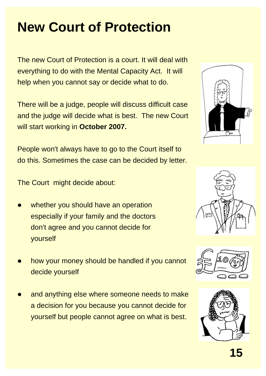# **New Court of Protection**

The new Court of Protection is a court. It will deal with everything to do with the Mental Capacity Act. It will help when you cannot say or decide what to do.

There will be a judge, people will discuss difficult case and the judge will decide what is best. The new Court will start working in **October 2007.** 

People won't always have to go to the Court itself to do this. Sometimes the case can be decided by letter.

The Court might decide about:

- $\bullet$ whether you should have an operation especially if your family and the doctors don't agree and you cannot decide for yourself
- $\bullet$  how your money should be handled if you cannot decide yourself
- $\bullet$  and anything else where someone needs to make a decision for you because you cannot decide for yourself but people cannot agree on what is best.







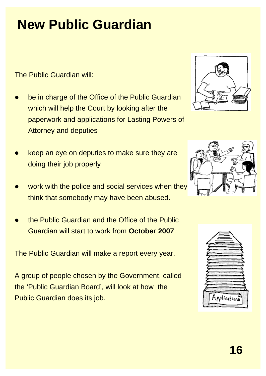# **New Public Guardian**

The Public Guardian will:

- $\bullet$  be in charge of the Office of the Public Guardian which will help the Court by looking after the paperwork and applications for Lasting Powers of Attorney and deputies
- $\bullet$  keep an eye on deputies to make sure they are doing their job properly
- $\bullet$ work with the police and social services when they think that somebody may have been abused.
- $\bullet$  the Public Guardian and the Office of the Public Guardian will start to work from **October 2007**.

The Public Guardian will make a report every year.

A group of people chosen by the Government, called the 'Public Guardian Board', will look at how the Public Guardian does its job.





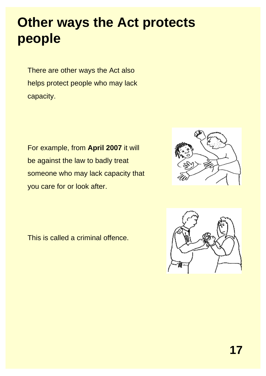#### **Other ways the Act protects people**

There are other ways the Act also helps protect people who may lack capacity.

For example, from **April 2007** it will be against the law to badly treat someone who may lack capacity that you care for or look after.



This is called a criminal offence.

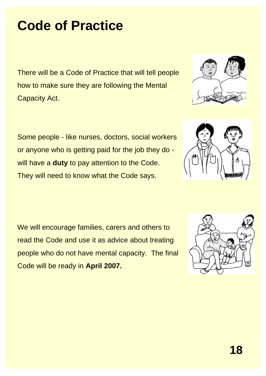#### **Code of Practice**

There will be a Code of Practice that will tell people how to make sure they are following the Mental Capacity Act.

Some people - like nurses, doctors, social workers or anyone who is getting paid for the job they do will have a **duty** to pay attention to the Code. They will need to know what the Code says.

We will encourage families, carers and others to read the Code and use it as advice about treating people who do not have mental capacity. The final Code will be ready in **April 2007.** 





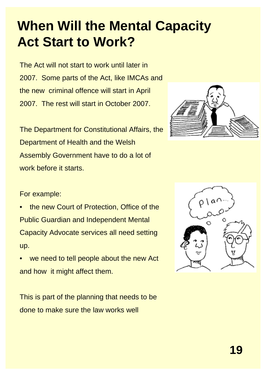### **When Will the Mental Capacity Act Start to Work?**

The Act will not start to work until later in 2007. Some parts of the Act, like IMCAs and the new criminal offence will start in April 2007. The rest will start in October 2007.

The Department for Constitutional Affairs, the Department of Health and the Welsh Assembly Government have to do a lot of work before it starts.



#### For example:

- the new Court of Protection, Office of the Public Guardian and Independent Mental Capacity Advocate services all need setting up.
- we need to tell people about the new Act and how it might affect them.

This is part of the planning that needs to be done to make sure the law works well